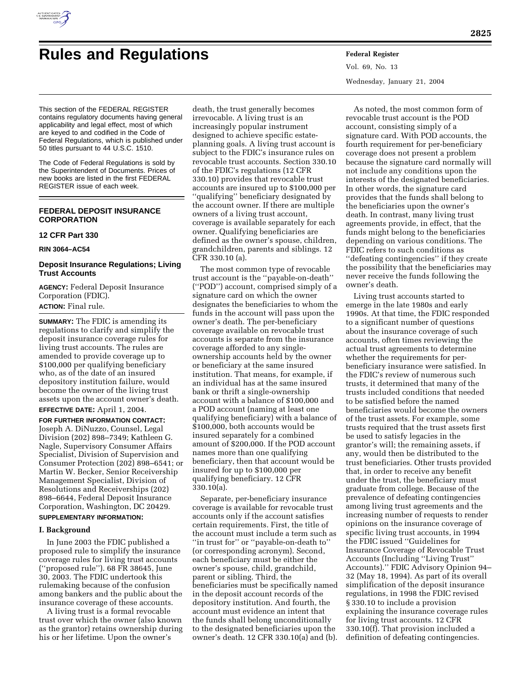

# **Rules and Regulations Federal Register**

Vol. 69, No. 13 Wednesday, January 21, 2004

This section of the FEDERAL REGISTER contains regulatory documents having general applicability and legal effect, most of which are keyed to and codified in the Code of Federal Regulations, which is published under 50 titles pursuant to 44 U.S.C. 1510.

The Code of Federal Regulations is sold by the Superintendent of Documents. Prices of new books are listed in the first FEDERAL REGISTER issue of each week.

# **FEDERAL DEPOSIT INSURANCE CORPORATION**

## **12 CFR Part 330**

**RIN 3064–AC54** 

## **Deposit Insurance Regulations; Living Trust Accounts**

**AGENCY:** Federal Deposit Insurance Corporation (FDIC). **ACTION:** Final rule.

**SUMMARY:** The FDIC is amending its regulations to clarify and simplify the deposit insurance coverage rules for living trust accounts. The rules are amended to provide coverage up to \$100,000 per qualifying beneficiary who, as of the date of an insured depository institution failure, would become the owner of the living trust assets upon the account owner's death.

**EFFECTIVE DATE:** April 1, 2004.

**FOR FURTHER INFORMATION CONTACT:** Joseph A. DiNuzzo, Counsel, Legal Division (202) 898–7349; Kathleen G. Nagle, Supervisory Consumer Affairs Specialist, Division of Supervision and Consumer Protection (202) 898–6541; or Martin W. Becker, Senior Receivership Management Specialist, Division of Resolutions and Receiverships (202) 898–6644, Federal Deposit Insurance Corporation, Washington, DC 20429.

# **SUPPLEMENTARY INFORMATION:**

## **I. Background**

In June 2003 the FDIC published a proposed rule to simplify the insurance coverage rules for living trust accounts (''proposed rule''). 68 FR 38645, June 30, 2003. The FDIC undertook this rulemaking because of the confusion among bankers and the public about the insurance coverage of these accounts.

A living trust is a formal revocable trust over which the owner (also known as the grantor) retains ownership during his or her lifetime. Upon the owner's

death, the trust generally becomes irrevocable. A living trust is an increasingly popular instrument designed to achieve specific estateplanning goals. A living trust account is subject to the FDIC's insurance rules on revocable trust accounts. Section 330.10 of the FDIC's regulations (12 CFR 330.10) provides that revocable trust accounts are insured up to \$100,000 per ''qualifying'' beneficiary designated by the account owner. If there are multiple owners of a living trust account, coverage is available separately for each owner. Qualifying beneficiaries are defined as the owner's spouse, children, grandchildren, parents and siblings. 12 CFR 330.10 (a).

The most common type of revocable trust account is the ''payable-on-death'' (''POD'') account, comprised simply of a signature card on which the owner designates the beneficiaries to whom the funds in the account will pass upon the owner's death. The per-beneficiary coverage available on revocable trust accounts is separate from the insurance coverage afforded to any singleownership accounts held by the owner or beneficiary at the same insured institution. That means, for example, if an individual has at the same insured bank or thrift a single-ownership account with a balance of \$100,000 and a POD account (naming at least one qualifying beneficiary) with a balance of \$100,000, both accounts would be insured separately for a combined amount of \$200,000. If the POD account names more than one qualifying beneficiary, then that account would be insured for up to \$100,000 per qualifying beneficiary. 12 CFR 330.10(a).

Separate, per-beneficiary insurance coverage is available for revocable trust accounts only if the account satisfies certain requirements. First, the title of the account must include a term such as ''in trust for'' or ''payable-on-death to'' (or corresponding acronym). Second, each beneficiary must be either the owner's spouse, child, grandchild, parent or sibling. Third, the beneficiaries must be specifically named in the deposit account records of the depository institution. And fourth, the account must evidence an intent that the funds shall belong unconditionally to the designated beneficiaries upon the owner's death. 12 CFR 330.10(a) and (b).

As noted, the most common form of revocable trust account is the POD account, consisting simply of a signature card. With POD accounts, the fourth requirement for per-beneficiary coverage does not present a problem because the signature card normally will not include any conditions upon the interests of the designated beneficiaries. In other words, the signature card provides that the funds shall belong to the beneficiaries upon the owner's death. In contrast, many living trust agreements provide, in effect, that the funds might belong to the beneficiaries depending on various conditions. The FDIC refers to such conditions as ''defeating contingencies'' if they create the possibility that the beneficiaries may never receive the funds following the owner's death.

Living trust accounts started to emerge in the late 1980s and early 1990s. At that time, the FDIC responded to a significant number of questions about the insurance coverage of such accounts, often times reviewing the actual trust agreements to determine whether the requirements for perbeneficiary insurance were satisfied. In the FDIC's review of numerous such trusts, it determined that many of the trusts included conditions that needed to be satisfied before the named beneficiaries would become the owners of the trust assets. For example, some trusts required that the trust assets first be used to satisfy legacies in the grantor's will; the remaining assets, if any, would then be distributed to the trust beneficiaries. Other trusts provided that, in order to receive any benefit under the trust, the beneficiary must graduate from college. Because of the prevalence of defeating contingencies among living trust agreements and the increasing number of requests to render opinions on the insurance coverage of specific living trust accounts, in 1994 the FDIC issued ''Guidelines for Insurance Coverage of Revocable Trust Accounts (Including ''Living Trust'' Accounts).'' FDIC Advisory Opinion 94– 32 (May 18, 1994). As part of its overall simplification of the deposit insurance regulations, in 1998 the FDIC revised § 330.10 to include a provision explaining the insurance coverage rules for living trust accounts. 12 CFR 330.10(f). That provision included a definition of defeating contingencies.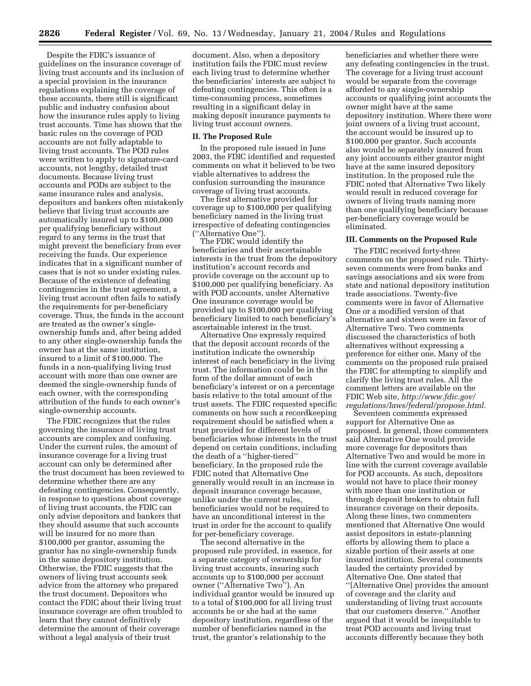Despite the FDIC's issuance of guidelines on the insurance coverage of living trust accounts and its inclusion of a special provision in the insurance regulations explaining the coverage of these accounts, there still is significant public and industry confusion about how the insurance rules apply to living trust accounts. Time has shown that the basic rules on the coverage of POD accounts are not fully adaptable to living trust accounts. The POD rules were written to apply to signature-card accounts, not lengthy, detailed trust documents. Because living trust accounts and PODs are subject to the same insurance rules and analysis, depositors and bankers often mistakenly believe that living trust accounts are automatically insured up to \$100,000 per qualifying beneficiary without regard to any terms in the trust that might prevent the beneficiary from ever receiving the funds. Our experience indicates that in a significant number of cases that is not so under existing rules. Because of the existence of defeating contingencies in the trust agreement, a living trust account often fails to satisfy the requirements for per-beneficiary coverage. Thus, the funds in the account are treated as the owner's singleownership funds and, after being added to any other single-ownership funds the owner has at the same institution, insured to a limit of \$100,000. The funds in a non-qualifying living trust account with more than one owner are deemed the single-ownership funds of each owner, with the corresponding attribution of the funds to each owner's single-ownership accounts.

The FDIC recognizes that the rules governing the insurance of living trust accounts are complex and confusing. Under the current rules, the amount of insurance coverage for a living trust account can only be determined after the trust document has been reviewed to determine whether there are any defeating contingencies. Consequently, in response to questions about coverage of living trust accounts, the FDIC can only advise depositors and bankers that they should assume that such accounts will be insured for no more than \$100,000 per grantor, assuming the grantor has no single-ownership funds in the same depository institution. Otherwise, the FDIC suggests that the owners of living trust accounts seek advice from the attorney who prepared the trust document. Depositors who contact the FDIC about their living trust insurance coverage are often troubled to learn that they cannot definitively determine the amount of their coverage without a legal analysis of their trust

document. Also, when a depository institution fails the FDIC must review each living trust to determine whether the beneficiaries' interests are subject to defeating contingencies. This often is a time-consuming process, sometimes resulting in a significant delay in making deposit insurance payments to living trust account owners.

#### **II. The Proposed Rule**

In the proposed rule issued in June 2003, the FDIC identified and requested comments on what it believed to be two viable alternatives to address the confusion surrounding the insurance coverage of living trust accounts.

The first alternative provided for coverage up to \$100,000 per qualifying beneficiary named in the living trust irrespective of defeating contingencies (''Alternative One'').

The FDIC would identify the beneficiaries and their ascertainable interests in the trust from the depository institution's account records and provide coverage on the account up to \$100,000 per qualifying beneficiary. As with POD accounts, under Alternative One insurance coverage would be provided up to \$100,000 per qualifying beneficiary limited to each beneficiary's ascertainable interest in the trust.

Alternative One expressly required that the deposit account records of the institution indicate the ownership interest of each beneficiary in the living trust. The information could be in the form of the dollar amount of each beneficiary's interest or on a percentage basis relative to the total amount of the trust assets. The FDIC requested specific comments on how such a recordkeeping requirement should be satisfied when a trust provided for different levels of beneficiaries whose interests in the trust depend on certain conditions, including the death of a ''higher-tiered'' beneficiary. In the proposed rule the FDIC noted that Alternative One generally would result in an increase in deposit insurance coverage because, unlike under the current rules, beneficiaries would not be required to have an unconditional interest in the trust in order for the account to qualify for per-beneficiary coverage.

The second alternative in the proposed rule provided, in essence, for a separate category of ownership for living trust accounts, insuring such accounts up to \$100,000 per account owner (''Alternative Two''). An individual grantor would be insured up to a total of \$100,000 for all living trust accounts he or she had at the same depository institution, regardless of the number of beneficiaries named in the trust, the grantor's relationship to the

beneficiaries and whether there were any defeating contingencies in the trust. The coverage for a living trust account would be separate from the coverage afforded to any single-ownership accounts or qualifying joint accounts the owner might have at the same depository institution. Where there were joint owners of a living trust account, the account would be insured up to \$100,000 per grantor. Such accounts also would be separately insured from any joint accounts either grantor might have at the same insured depository institution. In the proposed rule the FDIC noted that Alternative Two likely would result in reduced coverage for owners of living trusts naming more than one qualifying beneficiary because per-beneficiary coverage would be eliminated.

#### **III. Comments on the Proposed Rule**

The FDIC received forty-three comments on the proposed rule. Thirtyseven comments were from banks and savings associations and six were from state and national depository institution trade associations. Twenty-five comments were in favor of Alternative One or a modified version of that alternative and sixteen were in favor of Alternative Two. Two comments discussed the characteristics of both alternatives without expressing a preference for either one. Many of the comments on the proposed rule praised the FDIC for attempting to simplify and clarify the living trust rules. All the comment letters are available on the FDIC Web site, *http://www.fdic.gov/ regulations/laws/federal/propose.html.*

Seventeen comments expressed support for Alternative One as proposed. In general, those commenters said Alternative One would provide more coverage for depositors than Alternative Two and would be more in line with the current coverage available for POD accounts. As such, depositors would not have to place their money with more than one institution or through deposit brokers to obtain full insurance coverage on their deposits. Along these lines, two commenters mentioned that Alternative One would assist depositors in estate-planning efforts by allowing them to place a sizable portion of their assets at one insured institution. Several comments lauded the certainty provided by Alternative One. One stated that ''[Alternative One] provides the amount of coverage and the clarity and understanding of living trust accounts that our customers deserve.'' Another argued that it would be inequitable to treat POD accounts and living trust accounts differently because they both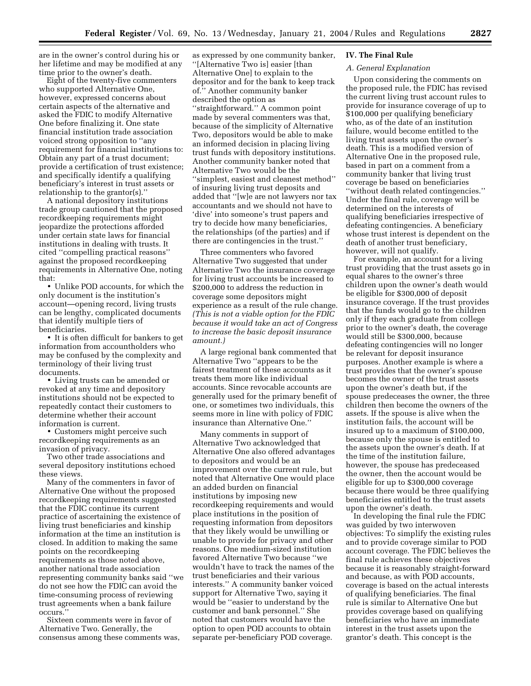are in the owner's control during his or her lifetime and may be modified at any time prior to the owner's death.

Eight of the twenty-five commenters who supported Alternative One, however, expressed concerns about certain aspects of the alternative and asked the FDIC to modify Alternative One before finalizing it. One state financial institution trade association voiced strong opposition to ''any requirement for financial institutions to: Obtain any part of a trust document; provide a certification of trust existence; and specifically identify a qualifying beneficiary's interest in trust assets or relationship to the grantor(s).''

A national depository institutions trade group cautioned that the proposed recordkeeping requirements might jeopardize the protections afforded under certain state laws for financial institutions in dealing with trusts. It cited ''compelling practical reasons'' against the proposed recordkeeping requirements in Alternative One, noting that:

• Unlike POD accounts, for which the only document is the institution's account—opening record, living trusts can be lengthy, complicated documents that identify multiple tiers of beneficiaries.

• It is often difficult for bankers to get information from accountholders who may be confused by the complexity and terminology of their living trust documents.

• Living trusts can be amended or revoked at any time and depository institutions should not be expected to repeatedly contact their customers to determine whether their account information is current.

• Customers might perceive such recordkeeping requirements as an invasion of privacy.

Two other trade associations and several depository institutions echoed these views.

Many of the commenters in favor of Alternative One without the proposed recordkeeping requirements suggested that the FDIC continue its current practice of ascertaining the existence of living trust beneficiaries and kinship information at the time an institution is closed. In addition to making the same points on the recordkeeping requirements as those noted above, another national trade association representing community banks said ''we do not see how the FDIC can avoid the time-consuming process of reviewing trust agreements when a bank failure occurs.''

Sixteen comments were in favor of Alternative Two. Generally, the consensus among these comments was,

as expressed by one community banker, ''[Alternative Two is] easier [than Alternative One] to explain to the depositor and for the bank to keep track of.'' Another community banker described the option as ''straightforward.'' A common point made by several commenters was that, because of the simplicity of Alternative Two, depositors would be able to make an informed decision in placing living trust funds with depository institutions. Another community banker noted that Alternative Two would be the ''simplest, easiest and cleanest method'' of insuring living trust deposits and added that ''[w]e are not lawyers nor tax accountants and we should not have to 'dive' into someone's trust papers and try to decide how many beneficiaries, the relationships (of the parties) and if there are contingencies in the trust.''

Three commenters who favored Alternative Two suggested that under Alternative Two the insurance coverage for living trust accounts be increased to \$200,000 to address the reduction in coverage some depositors might experience as a result of the rule change. *(This is not a viable option for the FDIC because it would take an act of Congress to increase the basic deposit insurance amount.)*

A large regional bank commented that Alternative Two ''appears to be the fairest treatment of these accounts as it treats them more like individual accounts. Since revocable accounts are generally used for the primary benefit of one, or sometimes two individuals, this seems more in line with policy of FDIC insurance than Alternative One.''

Many comments in support of Alternative Two acknowledged that Alternative One also offered advantages to depositors and would be an improvement over the current rule, but noted that Alternative One would place an added burden on financial institutions by imposing new recordkeeping requirements and would place institutions in the position of requesting information from depositors that they likely would be unwilling or unable to provide for privacy and other reasons. One medium-sized institution favored Alternative Two because ''we wouldn't have to track the names of the trust beneficiaries and their various interests.'' A community banker voiced support for Alternative Two, saying it would be ''easier to understand by the customer and bank personnel.'' She noted that customers would have the option to open POD accounts to obtain separate per-beneficiary POD coverage.

#### **IV. The Final Rule**

# *A. General Explanation*

Upon considering the comments on the proposed rule, the FDIC has revised the current living trust account rules to provide for insurance coverage of up to \$100,000 per qualifying beneficiary who, as of the date of an institution failure, would become entitled to the living trust assets upon the owner's death. This is a modified version of Alternative One in the proposed rule, based in part on a comment from a community banker that living trust coverage be based on beneficiaries ''without death related contingencies.'' Under the final rule, coverage will be determined on the interests of qualifying beneficiaries irrespective of defeating contingencies. A beneficiary whose trust interest is dependent on the death of another trust beneficiary, however, will not qualify.

For example, an account for a living trust providing that the trust assets go in equal shares to the owner's three children upon the owner's death would be eligible for \$300,000 of deposit insurance coverage. If the trust provides that the funds would go to the children only if they each graduate from college prior to the owner's death, the coverage would still be \$300,000, because defeating contingencies will no longer be relevant for deposit insurance purposes. Another example is where a trust provides that the owner's spouse becomes the owner of the trust assets upon the owner's death but, if the spouse predeceases the owner, the three children then become the owners of the assets. If the spouse is alive when the institution fails, the account will be insured up to a maximum of \$100,000, because only the spouse is entitled to the assets upon the owner's death. If at the time of the institution failure, however, the spouse has predeceased the owner, then the account would be eligible for up to \$300,000 coverage because there would be three qualifying beneficiaries entitled to the trust assets upon the owner's death.

In developing the final rule the FDIC was guided by two interwoven objectives: To simplify the existing rules and to provide coverage similar to POD account coverage. The FDIC believes the final rule achieves these objectives because it is reasonably straight-forward and because, as with POD accounts, coverage is based on the actual interests of qualifying beneficiaries. The final rule is similar to Alternative One but provides coverage based on qualifying beneficiaries who have an immediate interest in the trust assets upon the grantor's death. This concept is the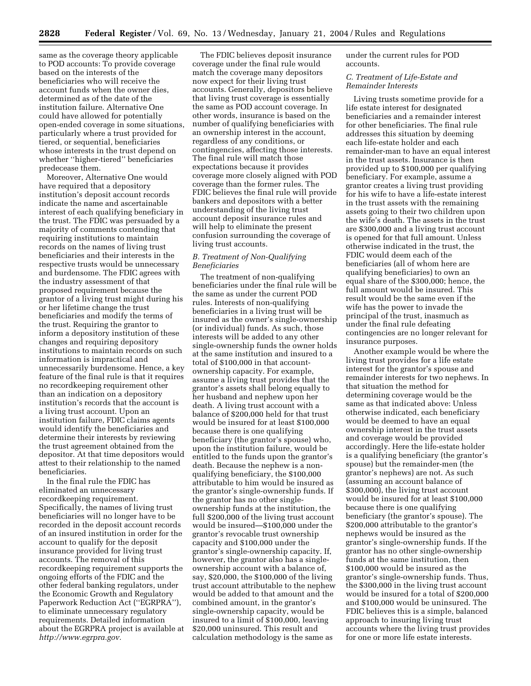same as the coverage theory applicable to POD accounts: To provide coverage based on the interests of the beneficiaries who will receive the account funds when the owner dies, determined as of the date of the institution failure. Alternative One could have allowed for potentially open-ended coverage in some situations, particularly where a trust provided for tiered, or sequential, beneficiaries whose interests in the trust depend on whether ''higher-tiered'' beneficiaries predecease them.

Moreover, Alternative One would have required that a depository institution's deposit account records indicate the name and ascertainable interest of each qualifying beneficiary in the trust. The FDIC was persuaded by a majority of comments contending that requiring institutions to maintain records on the names of living trust beneficiaries and their interests in the respective trusts would be unnecessary and burdensome. The FDIC agrees with the industry assessment of that proposed requirement because the grantor of a living trust might during his or her lifetime change the trust beneficiaries and modify the terms of the trust. Requiring the grantor to inform a depository institution of these changes and requiring depository institutions to maintain records on such information is impractical and unnecessarily burdensome. Hence, a key feature of the final rule is that it requires no recordkeeping requirement other than an indication on a depository institution's records that the account is a living trust account. Upon an institution failure, FDIC claims agents would identify the beneficiaries and determine their interests by reviewing the trust agreement obtained from the depositor. At that time depositors would attest to their relationship to the named beneficiaries.

In the final rule the FDIC has eliminated an unnecessary recordkeeping requirement. Specifically, the names of living trust beneficiaries will no longer have to be recorded in the deposit account records of an insured institution in order for the account to qualify for the deposit insurance provided for living trust accounts. The removal of this recordkeeping requirement supports the ongoing efforts of the FDIC and the other federal banking regulators, under the Economic Growth and Regulatory Paperwork Reduction Act (''EGRPRA''), to eliminate unnecessary regulatory requirements. Detailed information about the EGRPRA project is available at *http://www.egrpra.gov.*

The FDIC believes deposit insurance coverage under the final rule would match the coverage many depositors now expect for their living trust accounts. Generally, depositors believe that living trust coverage is essentially the same as POD account coverage. In other words, insurance is based on the number of qualifying beneficiaries with an ownership interest in the account, regardless of any conditions, or contingencies, affecting those interests. The final rule will match those expectations because it provides coverage more closely aligned with POD coverage than the former rules. The FDIC believes the final rule will provide bankers and depositors with a better understanding of the living trust account deposit insurance rules and will help to eliminate the present confusion surrounding the coverage of living trust accounts.

## *B. Treatment of Non-Qualifying Beneficiaries*

The treatment of non-qualifying beneficiaries under the final rule will be the same as under the current POD rules. Interests of non-qualifying beneficiaries in a living trust will be insured as the owner's single-ownership (or individual) funds. As such, those interests will be added to any other single-ownership funds the owner holds at the same institution and insured to a total of \$100,000 in that accountownership capacity. For example, assume a living trust provides that the grantor's assets shall belong equally to her husband and nephew upon her death. A living trust account with a balance of \$200,000 held for that trust would be insured for at least \$100,000 because there is one qualifying beneficiary (the grantor's spouse) who, upon the institution failure, would be entitled to the funds upon the grantor's death. Because the nephew is a nonqualifying beneficiary, the \$100,000 attributable to him would be insured as the grantor's single-ownership funds. If the grantor has no other singleownership funds at the institution, the full \$200,000 of the living trust account would be insured—\$100,000 under the grantor's revocable trust ownership capacity and \$100,000 under the grantor's single-ownership capacity. If, however, the grantor also has a singleownership account with a balance of, say, \$20,000, the \$100,000 of the living trust account attributable to the nephew would be added to that amount and the combined amount, in the grantor's single-ownership capacity, would be insured to a limit of \$100,000, leaving \$20,000 uninsured. This result and calculation methodology is the same as

under the current rules for POD accounts.

#### *C. Treatment of Life-Estate and Remainder Interests*

Living trusts sometime provide for a life estate interest for designated beneficiaries and a remainder interest for other beneficiaries. The final rule addresses this situation by deeming each life-estate holder and each remainder-man to have an equal interest in the trust assets. Insurance is then provided up to \$100,000 per qualifying beneficiary. For example, assume a grantor creates a living trust providing for his wife to have a life-estate interest in the trust assets with the remaining assets going to their two children upon the wife's death. The assets in the trust are \$300,000 and a living trust account is opened for that full amount. Unless otherwise indicated in the trust, the FDIC would deem each of the beneficiaries (all of whom here are qualifying beneficiaries) to own an equal share of the \$300,000; hence, the full amount would be insured. This result would be the same even if the wife has the power to invade the principal of the trust, inasmuch as under the final rule defeating contingencies are no longer relevant for insurance purposes.

Another example would be where the living trust provides for a life estate interest for the grantor's spouse and remainder interests for two nephews. In that situation the method for determining coverage would be the same as that indicated above: Unless otherwise indicated, each beneficiary would be deemed to have an equal ownership interest in the trust assets and coverage would be provided accordingly. Here the life-estate holder is a qualifying beneficiary (the grantor's spouse) but the remainder-men (the grantor's nephews) are not. As such (assuming an account balance of \$300,000), the living trust account would be insured for at least \$100,000 because there is one qualifying beneficiary (the grantor's spouse). The \$200,000 attributable to the grantor's nephews would be insured as the grantor's single-ownership funds. If the grantor has no other single-ownership funds at the same institution, then \$100,000 would be insured as the grantor's single-ownership funds. Thus, the \$300,000 in the living trust account would be insured for a total of \$200,000 and \$100,000 would be uninsured. The FDIC believes this is a simple, balanced approach to insuring living trust accounts where the living trust provides for one or more life estate interests.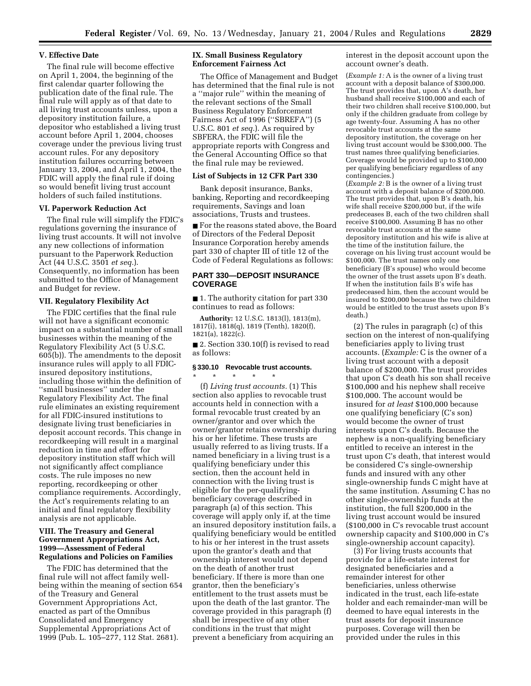#### **V. Effective Date**

The final rule will become effective on April 1, 2004, the beginning of the first calendar quarter following the publication date of the final rule. The final rule will apply as of that date to all living trust accounts unless, upon a depository institution failure, a depositor who established a living trust account before April 1, 2004, chooses coverage under the previous living trust account rules. For any depository institution failures occurring between January 13, 2004, and April 1, 2004, the FDIC will apply the final rule if doing so would benefit living trust account holders of such failed institutions.

#### **VI. Paperwork Reduction Act**

The final rule will simplify the FDIC's regulations governing the insurance of living trust accounts. It will not involve any new collections of information pursuant to the Paperwork Reduction Act (44 U.S.C. 3501 *et seq.*). Consequently, no information has been submitted to the Office of Management and Budget for review.

#### **VII. Regulatory Flexibility Act**

The FDIC certifies that the final rule will not have a significant economic impact on a substantial number of small businesses within the meaning of the Regulatory Flexibility Act (5 U.S.C. 605(b)). The amendments to the deposit insurance rules will apply to all FDICinsured depository institutions, including those within the definition of ''small businesses'' under the Regulatory Flexibility Act. The final rule eliminates an existing requirement for all FDIC-insured institutions to designate living trust beneficiaries in deposit account records. This change in recordkeeping will result in a marginal reduction in time and effort for depository institution staff which will not significantly affect compliance costs. The rule imposes no new reporting, recordkeeping or other compliance requirements. Accordingly, the Act's requirements relating to an initial and final regulatory flexibility analysis are not applicable.

#### **VIII. The Treasury and General Government Appropriations Act, 1999—Assessment of Federal Regulations and Policies on Families**

The FDIC has determined that the final rule will not affect family wellbeing within the meaning of section 654 of the Treasury and General Government Appropriations Act, enacted as part of the Omnibus Consolidated and Emergency Supplemental Appropriations Act of 1999 (Pub. L. 105–277, 112 Stat. 2681).

## **IX. Small Business Regulatory Enforcement Fairness Act**

The Office of Management and Budget has determined that the final rule is not a ''major rule'' within the meaning of the relevant sections of the Small Business Regulatory Enforcement Fairness Act of 1996 (''SBREFA'') (5 U.S.C. 801 *et seq.*). As required by SBFERA, the FDIC will file the appropriate reports with Congress and the General Accounting Office so that the final rule may be reviewed.

#### **List of Subjects in 12 CFR Part 330**

Bank deposit insurance, Banks, banking, Reporting and recordkeeping requirements, Savings and loan associations, Trusts and trustees.

■ For the reasons stated above, the Board of Directors of the Federal Deposit Insurance Corporation hereby amends part 330 of chapter III of title 12 of the Code of Federal Regulations as follows:

## **PART 330—DEPOSIT INSURANCE COVERAGE**

■ 1. The authority citation for part 330 continues to read as follows:

**Authority:** 12 U.S.C. 1813(l), 1813(m), 1817(i), 1818(q), 1819 (Tenth), 1820(f), 1821(a), 1822(c).

■ 2. Section 330.10(f) is revised to read as follows:

#### **§ 330.10 Revocable trust accounts.**

\* \* \* \* \* (f) *Living trust accounts.* (1) This section also applies to revocable trust accounts held in connection with a formal revocable trust created by an owner/grantor and over which the owner/grantor retains ownership during his or her lifetime. These trusts are usually referred to as living trusts. If a named beneficiary in a living trust is a qualifying beneficiary under this section, then the account held in connection with the living trust is eligible for the per-qualifyingbeneficiary coverage described in paragraph (a) of this section. This coverage will apply only if, at the time an insured depository institution fails, a qualifying beneficiary would be entitled to his or her interest in the trust assets upon the grantor's death and that ownership interest would not depend on the death of another trust beneficiary. If there is more than one grantor, then the beneficiary's entitlement to the trust assets must be upon the death of the last grantor. The coverage provided in this paragraph (f) shall be irrespective of any other conditions in the trust that might prevent a beneficiary from acquiring an

interest in the deposit account upon the account owner's death.

(*Example 1:* A is the owner of a living trust account with a deposit balance of \$300,000. The trust provides that, upon A's death, her husband shall receive \$100,000 and each of their two children shall receive \$100,000, but only if the children graduate from college by age twenty-four. Assuming A has no other revocable trust accounts at the same depository institution, the coverage on her living trust account would be \$300,000. The trust names three qualifying beneficiaries. Coverage would be provided up to \$100,000 per qualifying beneficiary regardless of any contingencies.)

(*Example 2:* B is the owner of a living trust account with a deposit balance of \$200,000. The trust provides that, upon B's death, his wife shall receive \$200,000 but, if the wife predeceases B, each of the two children shall receive \$100,000. Assuming B has no other revocable trust accounts at the same depository institution and his wife is alive at the time of the institution failure, the coverage on his living trust account would be \$100,000. The trust names only one beneficiary (B's spouse) who would become the owner of the trust assets upon B's death. If when the institution fails B's wife has predeceased him, then the account would be insured to \$200,000 because the two children would be entitled to the trust assets upon B's death.)

(2) The rules in paragraph (c) of this section on the interest of non-qualifying beneficiaries apply to living trust accounts. (*Example:* C is the owner of a living trust account with a deposit balance of \$200,000. The trust provides that upon C's death his son shall receive \$100,000 and his nephew shall receive \$100,000. The account would be insured for *at least* \$100,000 because one qualifying beneficiary (C's son) would become the owner of trust interests upon C's death. Because the nephew is a non-qualifying beneficiary entitled to receive an interest in the trust upon C's death, that interest would be considered C's single-ownership funds and insured with any other single-ownership funds C might have at the same institution. Assuming C has no other single-ownership funds at the institution, the full \$200,000 in the living trust account would be insured (\$100,000 in C's revocable trust account ownership capacity and \$100,000 in C's single-ownership account capacity).

(3) For living trusts accounts that provide for a life-estate interest for designated beneficiaries and a remainder interest for other beneficiaries, unless otherwise indicated in the trust, each life-estate holder and each remainder-man will be deemed to have equal interests in the trust assets for deposit insurance purposes. Coverage will then be provided under the rules in this